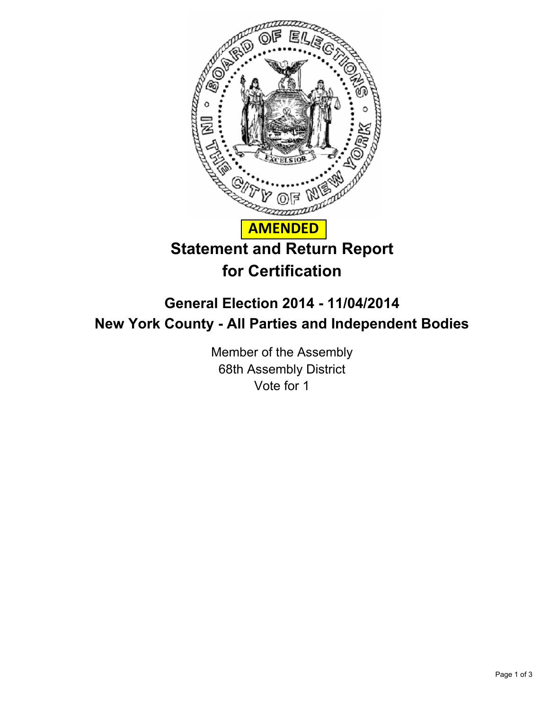

## **General Election 2014 - 11/04/2014 New York County - All Parties and Independent Bodies**

Member of the Assembly 68th Assembly District Vote for 1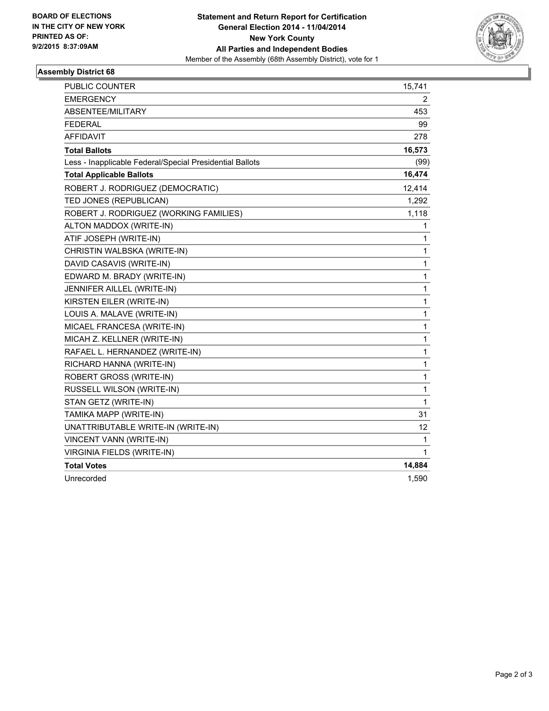

## **Assembly District 68**

| <b>PUBLIC COUNTER</b>                                    | 15,741       |
|----------------------------------------------------------|--------------|
| <b>EMERGENCY</b>                                         | 2            |
| ABSENTEE/MILITARY                                        | 453          |
| <b>FEDERAL</b>                                           | 99           |
| <b>AFFIDAVIT</b>                                         | 278          |
| <b>Total Ballots</b>                                     | 16,573       |
| Less - Inapplicable Federal/Special Presidential Ballots | (99)         |
| <b>Total Applicable Ballots</b>                          | 16,474       |
| ROBERT J. RODRIGUEZ (DEMOCRATIC)                         | 12,414       |
| TED JONES (REPUBLICAN)                                   | 1,292        |
| ROBERT J. RODRIGUEZ (WORKING FAMILIES)                   | 1,118        |
| ALTON MADDOX (WRITE-IN)                                  | 1            |
| ATIF JOSEPH (WRITE-IN)                                   | 1            |
| CHRISTIN WALBSKA (WRITE-IN)                              | 1            |
| DAVID CASAVIS (WRITE-IN)                                 | $\mathbf{1}$ |
| EDWARD M. BRADY (WRITE-IN)                               | $\mathbf{1}$ |
| JENNIFER AILLEL (WRITE-IN)                               | 1            |
| KIRSTEN EILER (WRITE-IN)                                 | $\mathbf{1}$ |
| LOUIS A. MALAVE (WRITE-IN)                               | $\mathbf{1}$ |
| MICAEL FRANCESA (WRITE-IN)                               | $\mathbf{1}$ |
| MICAH Z. KELLNER (WRITE-IN)                              | $\mathbf{1}$ |
| RAFAEL L. HERNANDEZ (WRITE-IN)                           | $\mathbf{1}$ |
| RICHARD HANNA (WRITE-IN)                                 | 1            |
| ROBERT GROSS (WRITE-IN)                                  | $\mathbf{1}$ |
| RUSSELL WILSON (WRITE-IN)                                | 1            |
| STAN GETZ (WRITE-IN)                                     | 1            |
| TAMIKA MAPP (WRITE-IN)                                   | 31           |
| UNATTRIBUTABLE WRITE-IN (WRITE-IN)                       | 12           |
| VINCENT VANN (WRITE-IN)                                  | 1            |
| VIRGINIA FIELDS (WRITE-IN)                               | 1            |
| <b>Total Votes</b>                                       | 14,884       |
| Unrecorded                                               | 1,590        |